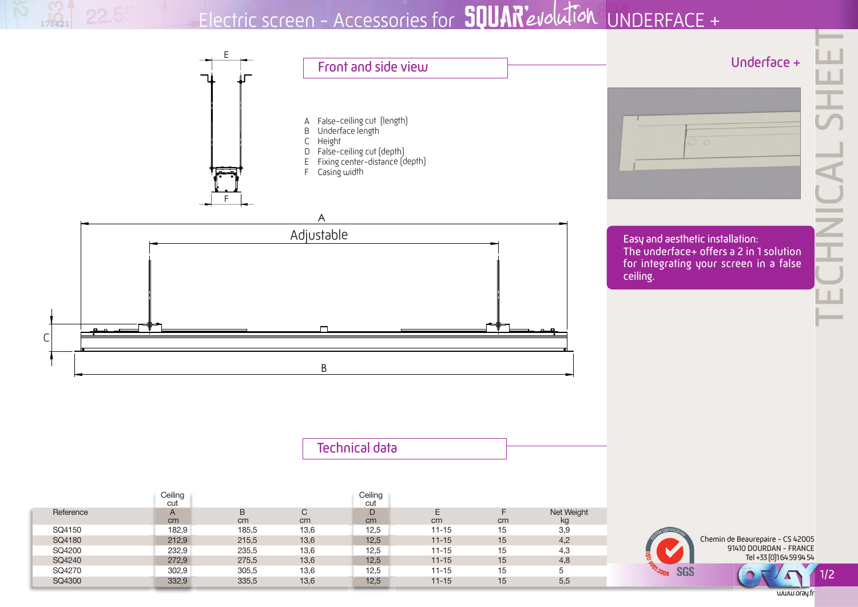Electric screen - Accessories for **SQUAR**'evolution UNDERFACE +

170421



www.oray.fr